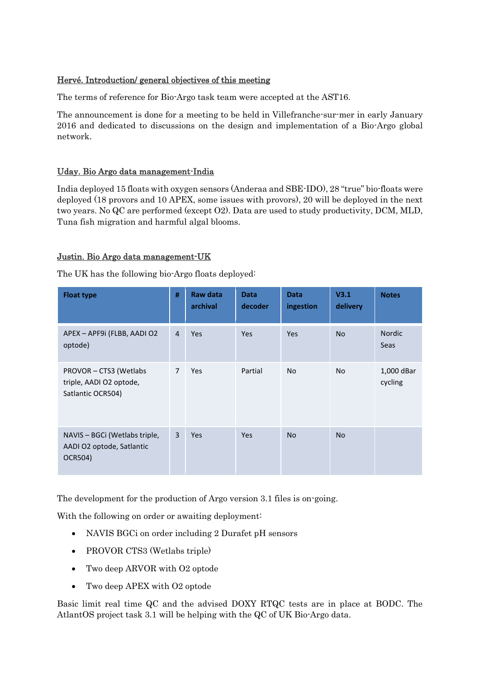# Hervé. Introduction/ general objectives of this meeting

The terms of reference for Bio-Argo task team were accepted at the AST16.

The announcement is done for a meeting to be held in Villefranche-sur-mer in early January 2016 and dedicated to discussions on the design and implementation of a Bio-Argo global network.

### Uday. Bio Argo data management-India

India deployed 15 floats with oxygen sensors (Anderaa and SBE-IDO), 28 "true" bio-floats were deployed (18 provors and 10 APEX, some issues with provors), 20 will be deployed in the next two years. No QC are performed (except O2). Data are used to study productivity, DCM, MLD, Tuna fish migration and harmful algal blooms.

### Justin. Bio Argo data management-UK

The UK has the following bio-Argo floats deployed:

| <b>Float type</b>                                                            | #              | <b>Raw data</b><br>archival | <b>Data</b><br>decoder | <b>Data</b><br>ingestion | V3.1<br>delivery | <b>Notes</b>                 |
|------------------------------------------------------------------------------|----------------|-----------------------------|------------------------|--------------------------|------------------|------------------------------|
| APEX - APF9i (FLBB, AADI O2<br>optode)                                       | $\overline{4}$ | <b>Yes</b>                  | <b>Yes</b>             | Yes                      | <b>No</b>        | <b>Nordic</b><br><b>Seas</b> |
| PROVOR - CTS3 (Wetlabs<br>triple, AADI O2 optode,<br>Satlantic OCR504)       | $\overline{7}$ | <b>Yes</b>                  | Partial                | <b>No</b>                | <b>No</b>        | 1,000 dBar<br>cycling        |
| NAVIS - BGCi (Wetlabs triple,<br>AADI O2 optode, Satlantic<br><b>OCR504)</b> | $\overline{3}$ | <b>Yes</b>                  | <b>Yes</b>             | <b>No</b>                | <b>No</b>        |                              |

The development for the production of Argo version 3.1 files is on-going.

With the following on order or awaiting deployment:

- NAVIS BGCi on order including 2 Durafet pH sensors
- PROVOR CTS3 (Wetlabs triple)
- Two deep ARVOR with O2 optode
- Two deep APEX with O2 optode

Basic limit real time QC and the advised DOXY RTQC tests are in place at BODC. The AtlantOS project task 3.1 will be helping with the QC of UK Bio-Argo data.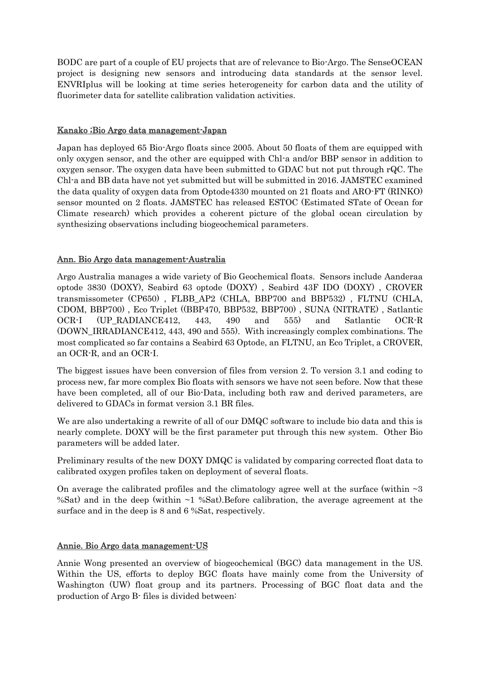BODC are part of a couple of EU projects that are of relevance to Bio-Argo. The SenseOCEAN project is designing new sensors and introducing data standards at the sensor level. ENVRIplus will be looking at time series heterogeneity for carbon data and the utility of fluorimeter data for satellite calibration validation activities.

### Kanako ;Bio Argo data management-Japan

Japan has deployed 65 Bio-Argo floats since 2005. About 50 floats of them are equipped with only oxygen sensor, and the other are equipped with Chl-a and/or BBP sensor in addition to oxygen sensor. The oxygen data have been submitted to GDAC but not put through rQC. The Chl-a and BB data have not yet submitted but will be submitted in 2016. JAMSTEC examined the data quality of oxygen data from Optode4330 mounted on 21 floats and ARO-FT (RINKO) sensor mounted on 2 floats. JAMSTEC has released ESTOC (Estimated STate of Ocean for Climate research) which provides a coherent picture of the global ocean circulation by synthesizing observations including biogeochemical parameters.

## Ann. Bio Argo data management-Australia

Argo Australia manages a wide variety of Bio Geochemical floats. Sensors include Aanderaa optode 3830 (DOXY), Seabird 63 optode (DOXY) , Seabird 43F IDO (DOXY) , CROVER transmissometer (CP650) , FLBB\_AP2 (CHLA, BBP700 and BBP532) , FLTNU (CHLA, CDOM, BBP700) , Eco Triplet ((BBP470, BBP532, BBP700) , SUNA (NITRATE) , Satlantic OCR-I (UP\_RADIANCE412, 443, 490 and 555) and Satlantic OCR-R (DOWN\_IRRADIANCE412, 443, 490 and 555). With increasingly complex combinations. The most complicated so far contains a Seabird 63 Optode, an FLTNU, an Eco Triplet, a CROVER, an OCR-R, and an OCR-I.

The biggest issues have been conversion of files from version 2. To version 3.1 and coding to process new, far more complex Bio floats with sensors we have not seen before. Now that these have been completed, all of our Bio-Data, including both raw and derived parameters, are delivered to GDACs in format version 3.1 BR files.

We are also undertaking a rewrite of all of our  $DMQC$  software to include bio data and this is nearly complete. DOXY will be the first parameter put through this new system. Other Bio parameters will be added later.

Preliminary results of the new DOXY DMQC is validated by comparing corrected float data to calibrated oxygen profiles taken on deployment of several floats.

On average the calibrated profiles and the climatology agree well at the surface (within  $\sim$ 3 %Sat) and in the deep (within  $\sim$ 1 %Sat).Before calibration, the average agreement at the surface and in the deep is 8 and 6 %Sat, respectively.

### Annie. Bio Argo data management-US

Annie Wong presented an overview of biogeochemical (BGC) data management in the US. Within the US, efforts to deploy BGC floats have mainly come from the University of Washington (UW) float group and its partners. Processing of BGC float data and the production of Argo B- files is divided between: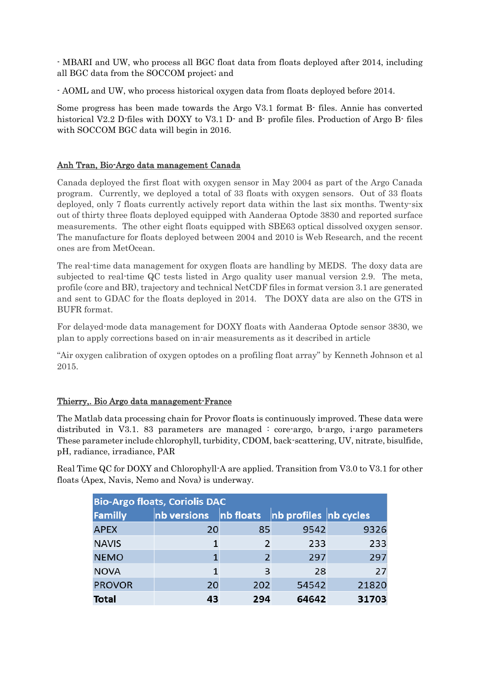- MBARI and UW, who process all BGC float data from floats deployed after 2014, including all BGC data from the SOCCOM project; and

- AOML and UW, who process historical oxygen data from floats deployed before 2014.

Some progress has been made towards the Argo V3.1 format B- files. Annie has converted historical V2.2 D-files with DOXY to V3.1 D- and B- profile files. Production of Argo B- files with SOCCOM BGC data will begin in 2016.

# Anh Tran, Bio-Argo data management Canada

Canada deployed the first float with oxygen sensor in May 2004 as part of the Argo Canada program. Currently, we deployed a total of 33 floats with oxygen sensors. Out of 33 floats deployed, only 7 floats currently actively report data within the last six months. Twenty-six out of thirty three floats deployed equipped with Aanderaa Optode 3830 and reported surface measurements. The other eight floats equipped with SBE63 optical dissolved oxygen sensor. The manufacture for floats deployed between 2004 and 2010 is Web Research, and the recent ones are from MetOcean.

The real-time data management for oxygen floats are handling by MEDS. The doxy data are subjected to real-time QC tests listed in Argo quality user manual version 2.9. The meta, profile (core and BR), trajectory and technical NetCDF files in format version 3.1 are generated and sent to GDAC for the floats deployed in 2014. The DOXY data are also on the GTS in BUFR format.

For delayed-mode data management for DOXY floats with Aanderaa Optode sensor 3830, we plan to apply corrections based on in-air measurements as it described in article

"Air oxygen calibration of oxygen optodes on a profiling float array" by Kenneth Johnson et al 2015.

### Thierry,. Bio Argo data management-France

The Matlab data processing chain for Provor floats is continuously improved. These data were distributed in V3.1. 83 parameters are managed : core-argo, b-argo, i-argo parameters These parameter include chlorophyll, turbidity, CDOM, back-scattering, UV, nitrate, bisulfide, pH, radiance, irradiance, PAR

Real Time QC for DOXY and Chlorophyll-A are applied. Transition from V3.0 to V3.1 for other floats (Apex, Navis, Nemo and Nova) is underway.

| <b>Bio-Argo floats, Coriolis DAC</b> |             |               |                       |       |  |  |  |  |
|--------------------------------------|-------------|---------------|-----------------------|-------|--|--|--|--|
| <b>Familly</b>                       | nb versions | nb floats     | nb profiles nb cycles |       |  |  |  |  |
| <b>APEX</b>                          | 20          | 85            | 9542                  | 9326  |  |  |  |  |
| <b>NAVIS</b>                         |             | $\mathcal{P}$ | 233                   | 233   |  |  |  |  |
| <b>NEMO</b>                          | 1           | $\mathcal{P}$ | 297                   | 297   |  |  |  |  |
| <b>NOVA</b>                          | 1           | 3             | 28                    | 27    |  |  |  |  |
| <b>PROVOR</b>                        | 20          | 202           | 54542                 | 21820 |  |  |  |  |
| Total                                | 43          | 294           | 64642                 | 31703 |  |  |  |  |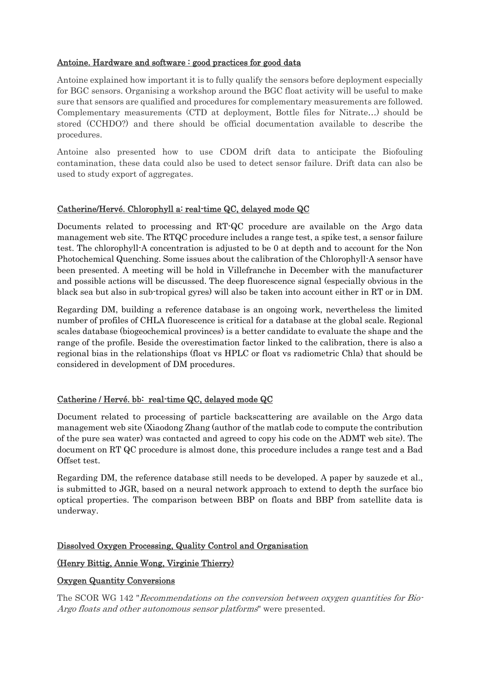### Antoine. Hardware and software : good practices for good data

Antoine explained how important it is to fully qualify the sensors before deployment especially for BGC sensors. Organising a workshop around the BGC float activity will be useful to make sure that sensors are qualified and procedures for complementary measurements are followed. Complementary measurements (CTD at deployment, Bottle files for Nitrate…) should be stored (CCHDO?) and there should be official documentation available to describe the procedures.

Antoine also presented how to use CDOM drift data to anticipate the Biofouling contamination, these data could also be used to detect sensor failure. Drift data can also be used to study export of aggregates.

## Catherine/Hervé. Chlorophyll a: real-time QC, delayed mode QC

Documents related to processing and RT-QC procedure are available on the Argo data management web site. The RTQC procedure includes a range test, a spike test, a sensor failure test. The chlorophyll-A concentration is adjusted to be 0 at depth and to account for the Non Photochemical Quenching. Some issues about the calibration of the Chlorophyll-A sensor have been presented. A meeting will be hold in Villefranche in December with the manufacturer and possible actions will be discussed. The deep fluorescence signal (especially obvious in the black sea but also in sub-tropical gyres) will also be taken into account either in RT or in DM.

Regarding DM, building a reference database is an ongoing work, nevertheless the limited number of profiles of CHLA fluorescence is critical for a database at the global scale. Regional scales database (biogeochemical provinces) is a better candidate to evaluate the shape and the range of the profile. Beside the overestimation factor linked to the calibration, there is also a regional bias in the relationships (float vs HPLC or float vs radiometric Chla) that should be considered in development of DM procedures.

# Catherine / Hervé. bb: real-time QC, delayed mode QC

Document related to processing of particle backscattering are available on the Argo data management web site (Xiaodong Zhang (author of the matlab code to compute the contribution of the pure sea water) was contacted and agreed to copy his code on the ADMT web site). The document on RT QC procedure is almost done, this procedure includes a range test and a Bad Offset test.

Regarding DM, the reference database still needs to be developed. A paper by sauzede et al., is submitted to JGR, based on a neural network approach to extend to depth the surface bio optical properties. The comparison between BBP on floats and BBP from satellite data is underway.

# Dissolved Oxygen Processing, Quality Control and Organisation

### (Henry Bittig, Annie Wong, Virginie Thierry)

### Oxygen Quantity Conversions

The SCOR WG 142 "Recommendations on the conversion between oxygen quantities for Bio-Argo floats and other autonomous sensor platforms" were presented.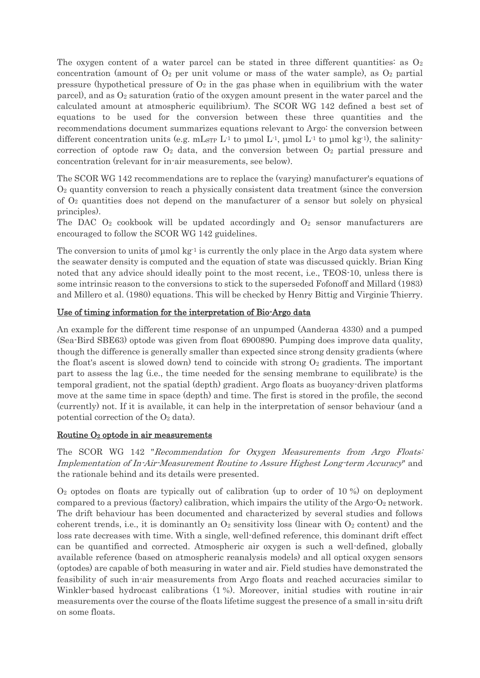The oxygen content of a water parcel can be stated in three different quantities: as  $O_2$ concentration (amount of  $O_2$  per unit volume or mass of the water sample), as  $O_2$  partial pressure (hypothetical pressure of  $O_2$  in the gas phase when in equilibrium with the water parcel), and as  $O_2$  saturation (ratio of the oxygen amount present in the water parcel and the calculated amount at atmospheric equilibrium). The SCOR WG 142 defined a best set of equations to be used for the conversion between these three quantities and the recommendations document summarizes equations relevant to Argo: the conversion between different concentration units (e.g. mLsrp  $L^1$  to µmol  $L^1$ , µmol  $L^1$  to µmol kg<sup>-1</sup>), the salinitycorrection of optode raw  $O_2$  data, and the conversion between  $O_2$  partial pressure and concentration (relevant for in-air measurements, see below).

The SCOR WG 142 recommendations are to replace the (varying) manufacturer's equations of O<sup>2</sup> quantity conversion to reach a physically consistent data treatment (since the conversion of O<sup>2</sup> quantities does not depend on the manufacturer of a sensor but solely on physical principles).

The DAC  $O_2$  cookbook will be updated accordingly and  $O_2$  sensor manufacturers are encouraged to follow the SCOR WG 142 guidelines.

The conversion to units of  $\mu$ mol kg<sup>-1</sup> is currently the only place in the Argo data system where the seawater density is computed and the equation of state was discussed quickly. Brian King noted that any advice should ideally point to the most recent, i.e., TEOS-10, unless there is some intrinsic reason to the conversions to stick to the superseded Fofonoff and Millard (1983) and Millero et al. (1980) equations. This will be checked by Henry Bittig and Virginie Thierry.

### Use of timing information for the interpretation of Bio-Argo data

An example for the different time response of an unpumped (Aanderaa 4330) and a pumped (Sea-Bird SBE63) optode was given from float 6900890. Pumping does improve data quality, though the difference is generally smaller than expected since strong density gradients (where the float's ascent is slowed down) tend to coincide with strong  $O_2$  gradients. The important part to assess the lag (i.e., the time needed for the sensing membrane to equilibrate) is the temporal gradient, not the spatial (depth) gradient. Argo floats as buoyancy-driven platforms move at the same time in space (depth) and time. The first is stored in the profile, the second (currently) not. If it is available, it can help in the interpretation of sensor behaviour (and a potential correction of the  $O<sub>2</sub>$  data).

#### Routine O2 optode in air measurements

The SCOR WG 142 "Recommendation for Oxygen Measurements from Argo Floats: Implementation of In-Air-Measurement Routine to Assure Highest Long-term Accuracy" and the rationale behind and its details were presented.

 $O<sub>2</sub>$  optodes on floats are typically out of calibration (up to order of 10 %) on deployment compared to a previous (factory) calibration, which impairs the utility of the Argo- $O_2$  network. The drift behaviour has been documented and characterized by several studies and follows coherent trends, i.e., it is dominantly an  $O_2$  sensitivity loss (linear with  $O_2$  content) and the loss rate decreases with time. With a single, well-defined reference, this dominant drift effect can be quantified and corrected. Atmospheric air oxygen is such a well-defined, globally available reference (based on atmospheric reanalysis models) and all optical oxygen sensors (optodes) are capable of both measuring in water and air. Field studies have demonstrated the feasibility of such in-air measurements from Argo floats and reached accuracies similar to Winkler-based hydrocast calibrations (1 %). Moreover, initial studies with routine in-air measurements over the course of the floats lifetime suggest the presence of a small in-situ drift on some floats.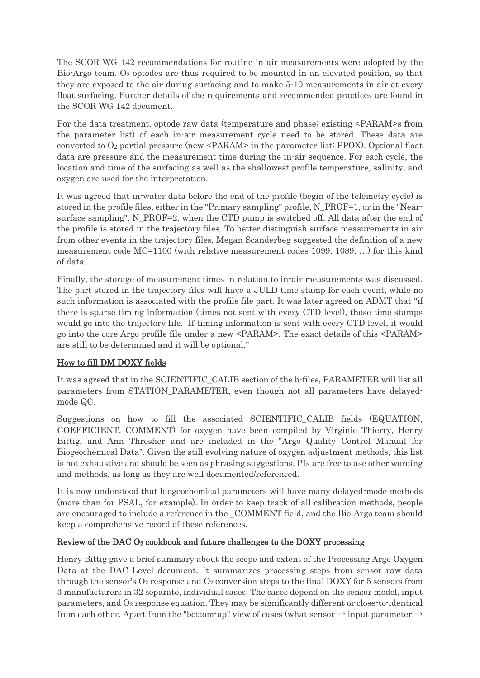The SCOR WG 142 recommendations for routine in air measurements were adopted by the Bio-Argo team.  $O_2$  optodes are thus required to be mounted in an elevated position, so that they are exposed to the air during surfacing and to make 5-10 measurements in air at every float surfacing. Further details of the requirements and recommended practices are found in the SCOR WG 142 document.

For the data treatment, optode raw data (temperature and phase; existing <PARAM>s from the parameter list) of each in-air measurement cycle need to be stored. These data are converted to  $O_2$  partial pressure (new <PARAM> in the parameter list: PPOX). Optional float data are pressure and the measurement time during the in-air sequence. For each cycle, the location and time of the surfacing as well as the shallowest profile temperature, salinity, and oxygen are used for the interpretation.

It was agreed that in-water data before the end of the profile (begin of the telemetry cycle) is stored in the profile files, either in the "Primary sampling" profile, N\_PROF=1, or in the "Nearsurface sampling", N\_PROF=2, when the CTD pump is switched off. All data after the end of the profile is stored in the trajectory files. To better distinguish surface measurements in air from other events in the trajectory files, Megan Scanderbeg suggested the definition of a new measurement code MC=1100 (with relative measurement codes 1099, 1089, …) for this kind of data.

Finally, the storage of measurement times in relation to in-air measurements was discussed. The part stored in the trajectory files will have a JULD time stamp for each event, while no such information is associated with the profile file part. It was later agreed on ADMT that "if there is sparse timing information (times not sent with every CTD level), those time stamps would go into the trajectory file. If timing information is sent with every CTD level, it would go into the core Argo profile file under a new <PARAM>. The exact details of this <PARAM> are still to be determined and it will be optional."

# How to fill DM DOXY fields

It was agreed that in the SCIENTIFIC\_CALIB section of the b-files, PARAMETER will list all parameters from STATION\_PARAMETER, even though not all parameters have delayedmode QC.

Suggestions on how to fill the associated SCIENTIFIC CALIB fields (EQUATION, COEFFICIENT, COMMENT) for oxygen have been compiled by Virginie Thierry, Henry Bittig, and Ann Thresher and are included in the "Argo Quality Control Manual for Biogeochemical Data". Given the still evolving nature of oxygen adjustment methods, this list is not exhaustive and should be seen as phrasing suggestions. PIs are free to use other wording and methods, as long as they are well documented/referenced.

It is now understood that biogeochemical parameters will have many delayed-mode methods (more than for PSAL, for example). In order to keep track of all calibration methods, people are encouraged to include a reference in the \_COMMENT field, and the Bio-Argo team should keep a comprehensive record of these references.

### Review of the DAC O2 cookbook and future challenges to the DOXY processing

Henry Bittig gave a brief summary about the scope and extent of the Processing Argo Oxygen Data at the DAC Level document. It summarizes processing steps from sensor raw data through the sensor's  $O_2$  response and  $O_2$  conversion steps to the final DOXY for 5 sensors from 3 manufacturers in 32 separate, individual cases. The cases depend on the sensor model, input parameters, and O<sup>2</sup> response equation. They may be significantly different or close-to-identical from each other. Apart from the "bottom-up" view of cases (what sensor  $\rightarrow$  input parameter  $\rightarrow$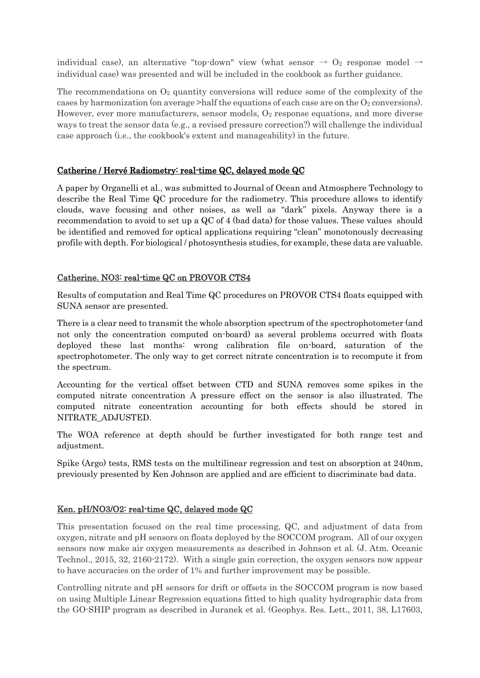individual case), an alternative "top-down" view (what sensor  $\rightarrow$  O<sub>2</sub> response model  $\rightarrow$ individual case) was presented and will be included in the cookbook as further guidance.

The recommendations on  $O_2$  quantity conversions will reduce some of the complexity of the cases by harmonization (on average  $\geq$ half the equations of each case are on the  $O_2$  conversions). However, ever more manufacturers, sensor models, O<sub>2</sub> response equations, and more diverse ways to treat the sensor data (e.g., a revised pressure correction?) will challenge the individual case approach (i.e., the cookbook's extent and manageability) in the future.

#### Catherine / Hervé Radiometry: real-time QC, delayed mode QC

A paper by Organelli et al., was submitted to Journal of Ocean and Atmosphere Technology to describe the Real Time QC procedure for the radiometry. This procedure allows to identify clouds, wave focusing and other noises, as well as "dark" pixels. Anyway there is a recommendation to avoid to set up a QC of 4 (bad data) for those values. These values should be identified and removed for optical applications requiring "clean" monotonously decreasing profile with depth. For biological / photosynthesis studies, for example, these data are valuable.

### Catherine. NO3: real-time QC on PROVOR CTS4

Results of computation and Real Time QC procedures on PROVOR CTS4 floats equipped with SUNA sensor are presented.

There is a clear need to transmit the whole absorption spectrum of the spectrophotometer (and not only the concentration computed on-board) as several problems occurred with floats deployed these last months: wrong calibration file on-board, saturation of the spectrophotometer. The only way to get correct nitrate concentration is to recompute it from the spectrum.

Accounting for the vertical offset between CTD and SUNA removes some spikes in the computed nitrate concentration A pressure effect on the sensor is also illustrated. The computed nitrate concentration accounting for both effects should be stored in NITRATE\_ADJUSTED.

The WOA reference at depth should be further investigated for both range test and adjustment.

Spike (Argo) tests, RMS tests on the multilinear regression and test on absorption at 240nm, previously presented by Ken Johnson are applied and are efficient to discriminate bad data.

#### Ken. pH/NO3/O2: real-time QC, delayed mode QC

This presentation focused on the real time processing, QC, and adjustment of data from oxygen, nitrate and pH sensors on floats deployed by the SOCCOM program. All of our oxygen sensors now make air oxygen measurements as described in Johnson et al. (J. Atm. Oceanic Technol., 2015, 32, 2160-2172). With a single gain correction, the oxygen sensors now appear to have accuracies on the order of 1% and further improvement may be possible.

Controlling nitrate and pH sensors for drift or offsets in the SOCCOM program is now based on using Multiple Linear Regression equations fitted to high quality hydrographic data from the GO-SHIP program as described in Juranek et al. (Geophys. Res. Lett., 2011, 38, L17603,